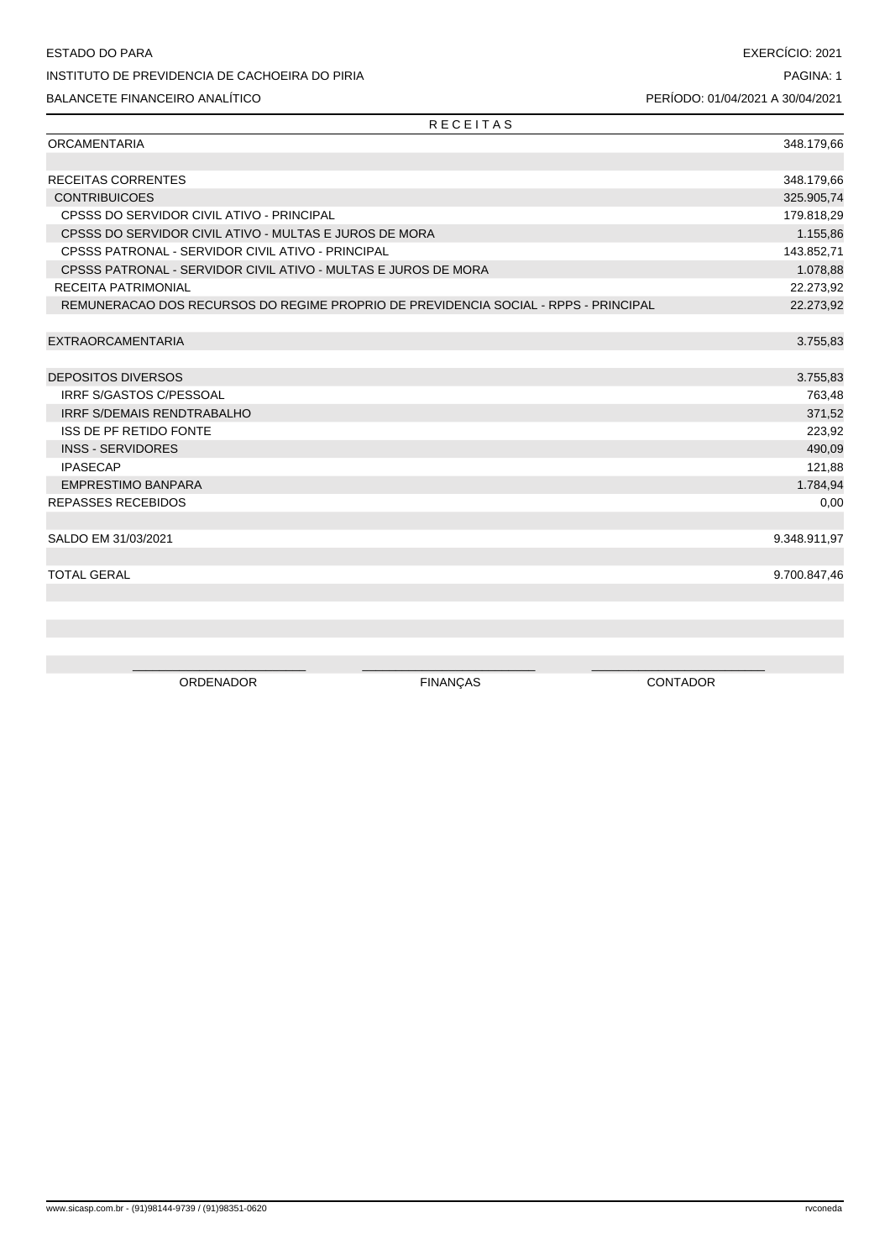R E C E I T A S

| <b>ORCAMENTARIA</b>                                                                 | 348.179,66   |
|-------------------------------------------------------------------------------------|--------------|
|                                                                                     |              |
| <b>RECEITAS CORRENTES</b>                                                           | 348.179,66   |
| <b>CONTRIBUICOES</b>                                                                | 325.905,74   |
| CPSSS DO SERVIDOR CIVIL ATIVO - PRINCIPAL                                           | 179.818,29   |
| CPSSS DO SERVIDOR CIVIL ATIVO - MULTAS E JUROS DE MORA                              | 1.155,86     |
| CPSSS PATRONAL - SERVIDOR CIVIL ATIVO - PRINCIPAL                                   | 143.852,71   |
| CPSSS PATRONAL - SERVIDOR CIVIL ATIVO - MULTAS E JUROS DE MORA                      | 1.078,88     |
| <b>RECEITA PATRIMONIAL</b>                                                          | 22.273,92    |
| REMUNERACAO DOS RECURSOS DO REGIME PROPRIO DE PREVIDENCIA SOCIAL - RPPS - PRINCIPAL | 22.273,92    |
|                                                                                     |              |
| <b>EXTRAORCAMENTARIA</b>                                                            | 3.755,83     |
|                                                                                     |              |
| <b>DEPOSITOS DIVERSOS</b>                                                           | 3.755,83     |
| IRRF S/GASTOS C/PESSOAL                                                             | 763,48       |
| <b>IRRF S/DEMAIS RENDTRABALHO</b>                                                   | 371,52       |
| <b>ISS DE PF RETIDO FONTE</b>                                                       | 223,92       |
| <b>INSS - SERVIDORES</b>                                                            | 490,09       |
| <b>IPASECAP</b>                                                                     | 121,88       |
| EMPRESTIMO BANPARA                                                                  | 1.784,94     |
| <b>REPASSES RECEBIDOS</b>                                                           | 0,00         |
|                                                                                     |              |
| SALDO EM 31/03/2021                                                                 | 9.348.911,97 |
|                                                                                     |              |
| <b>TOTAL GERAL</b>                                                                  | 9.700.847,46 |
|                                                                                     |              |
|                                                                                     |              |

ORDENADOR FINANÇAS CONTADOR

 $\_$  , and the set of the set of the set of the set of the set of the set of the set of the set of the set of the set of the set of the set of the set of the set of the set of the set of the set of the set of the set of th